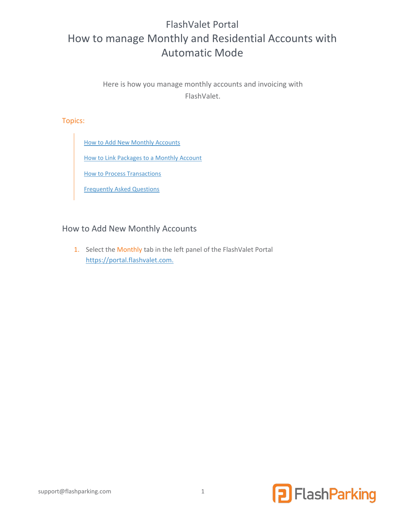# FlashValet Portal How to manage Monthly and Residential Accounts with Automatic Mode

Here is how you manage monthly accounts and invoicing with FlashValet.

Topics:

[How to Add New Monthly Accounts](#page-0-0)

How to Link Packages to a Monthly Account

**How to Process Transactions** 

[Frequently Asked Questions](#page-7-0)

### <span id="page-0-0"></span>How to Add New Monthly Accounts

1. Select the Monthly tab in the left panel of the FlashValet Portal [https://portal.flashvalet.com.](https://portal.flashvalet.com./)

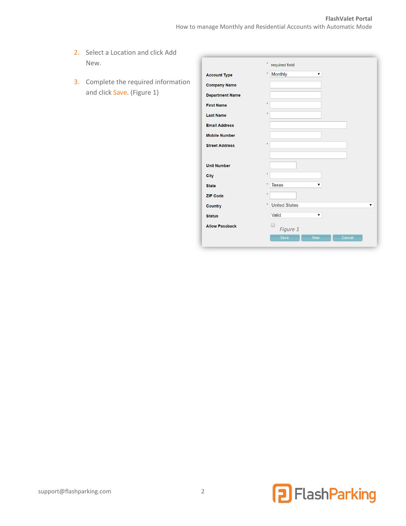- 2. Select a Location and click Add New.
- 3. Complete the required information and click Save. [\(Figure 1\)](#page-1-0)

<span id="page-1-0"></span>

|                        | ×<br>required field          |
|------------------------|------------------------------|
| <b>Account Type</b>    | Monthly<br>$\star$<br>▼      |
| <b>Company Name</b>    |                              |
| <b>Department Name</b> |                              |
| <b>First Name</b>      | $\star$                      |
| <b>Last Name</b>       | $\star$                      |
| <b>Email Address</b>   |                              |
| <b>Mobile Number</b>   |                              |
| <b>Street Address</b>  | $\star$                      |
|                        |                              |
| <b>Unit Number</b>     |                              |
| <b>City</b>            | $\star$                      |
| <b>State</b>           | ×<br><b>Texas</b><br>▼       |
| <b>ZIP Code</b>        | $\star$                      |
| <b>Country</b>         | <b>United States</b><br>×    |
| <b>Status</b>          | Valid<br>▼                   |
| <b>Allow Passback</b>  | Figure 1                     |
|                        | Save<br><b>New</b><br>Cancel |

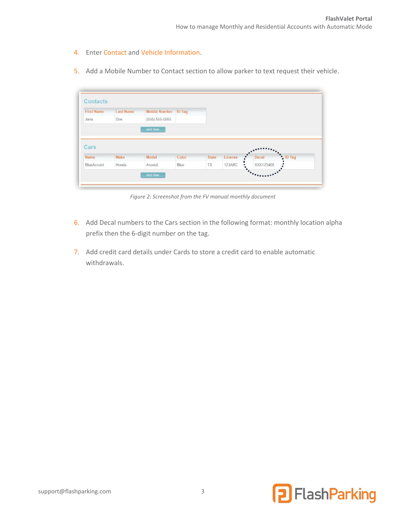- 4. Enter Contact and Vehicle Information.
- 5. Add a Mobile Number to Contact section to allow parker to text request their vehicle.

| <b>First Name</b> | <b>Last Name</b> | <b>Mobile Number ID Tag</b> |       |              |         |       |          |
|-------------------|------------------|-----------------------------|-------|--------------|---------|-------|----------|
| Jane              | <b>Doe</b>       | $(555) 555-5555$            |       |              |         |       |          |
|                   |                  | Add New                     |       |              |         |       |          |
|                   |                  |                             |       |              |         |       |          |
| Cars              |                  |                             |       |              |         |       |          |
| <b>Name</b>       | Make             | Model                       | Color | <b>State</b> | License | Decal | * ID Tag |

*Figure 2: Screenshot from the FV manual monthly document*

- 6. Add Decal numbers to the Cars section in the following format: monthly location alpha prefix then the 6-digit number on the tag.
- 7. Add credit card details under Cards to store a credit card to enable automatic withdrawals.

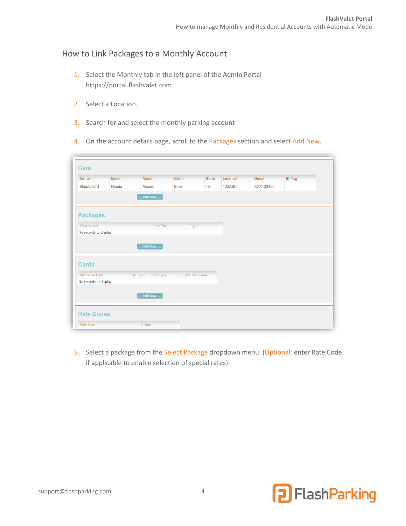## How to Link Packages to a Monthly Account

- 1. Select the Monthly tab in the left panel of the Admin Portal [https://portal.flashvalet.com.](https://portal.flashvalet.com./)
- 2. Select a Location.
- 3. Search for and select the monthly parking account
- 4. On the account details page, scroll to the Packages section and select Add New.

| <b>Cars</b>            |             |                  |           |               |              |         |              |               |
|------------------------|-------------|------------------|-----------|---------------|--------------|---------|--------------|---------------|
| <b>Name</b>            | <b>Make</b> | <b>Model</b>     |           | <b>Color</b>  | <b>State</b> | License | <b>Decal</b> | <b>ID Tag</b> |
| BlueAccord             | Honda       | Accord           |           | <b>Blue</b>   | <b>TX</b>    | 123ABC  | XXX123456    |               |
|                        |             |                  | Add New   |               |              |         |              |               |
|                        |             |                  |           |               |              |         |              |               |
| <b>Packages</b>        |             |                  |           |               |              |         |              |               |
| Description            |             |                  | Paid Thru | Type          |              |         |              |               |
| No records to display. |             |                  |           |               |              |         |              |               |
|                        |             |                  |           |               |              |         |              |               |
|                        |             |                  |           |               |              |         |              |               |
|                        |             |                  |           |               |              |         |              |               |
|                        |             |                  | Add New   |               |              |         |              |               |
|                        |             |                  |           |               |              |         |              |               |
|                        |             |                  |           |               |              |         |              |               |
| <b>Cards</b>           |             |                  |           |               |              |         |              |               |
| Name On Card           |             | <b>Last Four</b> | Card Type | Card Nickname |              |         |              |               |
| No records to display. |             |                  |           |               |              |         |              |               |
|                        |             |                  |           |               |              |         |              |               |
|                        |             |                  | Add New   |               |              |         |              |               |
|                        |             |                  |           |               |              |         |              |               |
|                        |             |                  |           |               |              |         |              |               |
| <b>Rate Codes</b>      |             |                  |           |               |              |         |              |               |

5. Select a package from the Select Package dropdown menu. (Optional: enter Rate Code if applicable to enable selection of special rates).

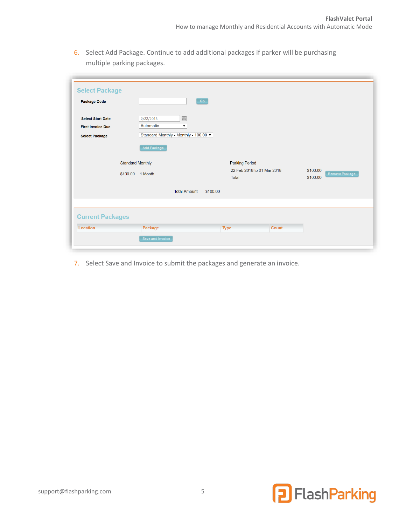6. Select Add Package. Continue to add additional packages if parker will be purchasing multiple parking packages.

| <b>Package Code</b>      | Go                                     |                                     |                      |                |
|--------------------------|----------------------------------------|-------------------------------------|----------------------|----------------|
| <b>Select Start Date</b> | 圃<br>2/22/2018                         |                                     |                      |                |
| <b>First Invoice Due</b> | Automatic<br>$\pmb{\mathrm{v}}$        |                                     |                      |                |
| <b>Select Package</b>    | Standard Monthly - Monthly - 100.00 ▼  |                                     |                      |                |
|                          | Add Package<br><b>Standard Monthly</b> | <b>Parking Period</b>               |                      |                |
|                          | \$100.00 1 Month                       | 22 Feb 2018 to 01 Mar 2018<br>Total | \$100.00<br>\$100.00 | Remove Package |
|                          | <b>Total Amount</b>                    | \$100.00                            |                      |                |
| <b>Current Packages</b>  |                                        |                                     |                      |                |
| Location                 | Package                                | <b>Type</b>                         | <b>Count</b>         |                |

7. Select Save and Invoice to submit the packages and generate an invoice.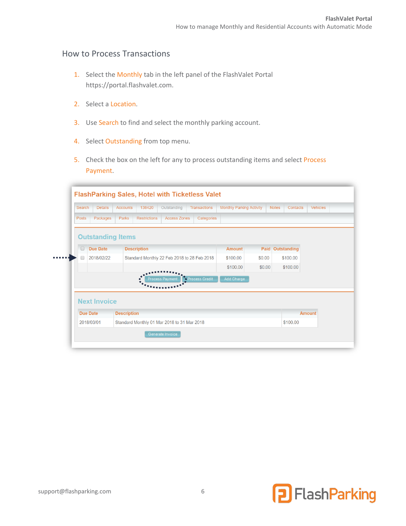#### How to Process Transactions

- 1. Select the Monthly tab in the left panel of the FlashValet Portal [https://portal.flashvalet.com.](https://portal.flashvalet.com./)
- 2. Select a Location.
- 3. Use Search to find and select the monthly parking account.
- 4. Select Outstanding from top menu.
- 5. Check the box on the left for any to process outstanding items and select Process Payment.

| Search          | <b>Details</b>           | <b>Accounts</b>    | 138420              | Outstanding                                 | <b>Transactions</b>    | <b>Monthly Parking Activity</b> |        | <b>Notes</b><br>Contacts | <b>Vehicles</b> |  |
|-----------------|--------------------------|--------------------|---------------------|---------------------------------------------|------------------------|---------------------------------|--------|--------------------------|-----------------|--|
| <b>Posts</b>    | Packages                 | Parks              | <b>Restrictions</b> | <b>Access Zones</b>                         | Categories             |                                 |        |                          |                 |  |
|                 | <b>Outstanding Items</b> |                    |                     |                                             |                        |                                 |        |                          |                 |  |
| $\Box$          | <b>Due Date</b>          |                    | <b>Description</b>  |                                             |                        | <b>Amount</b>                   | Paid   | Outstanding              |                 |  |
|                 | 2018/02/22               |                    |                     | Standard Monthly 22 Feb 2018 to 28 Feb 2018 |                        | \$100.00                        | \$0.00 | \$100.00                 |                 |  |
|                 |                          |                    |                     |                                             |                        | \$100.00                        | \$0.00 | \$100.00                 |                 |  |
|                 | <b>Next Invoice</b>      |                    |                     | <b>Process Payment</b>                      | <b>AProcess Credit</b> | Add Charge                      |        |                          |                 |  |
| <b>Due Date</b> |                          | <b>Description</b> |                     |                                             |                        |                                 |        |                          | <b>Amount</b>   |  |
|                 | 2018/03/01               |                    |                     | Standard Monthly 01 Mar 2018 to 31 Mar 2018 |                        |                                 |        | \$100.00                 |                 |  |



 $\sim$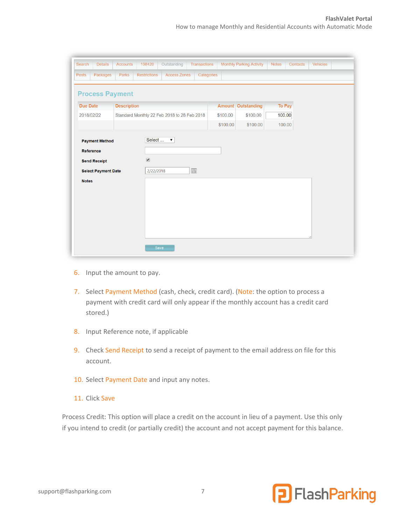| Search           | <b>Details</b>                                    | <b>Accounts</b>    | 138420                 | Outstanding                                 | <b>Transactions</b> |          | <b>Monthly Parking Activity</b> | <b>Notes</b>  | Contacts | Vehicles |  |
|------------------|---------------------------------------------------|--------------------|------------------------|---------------------------------------------|---------------------|----------|---------------------------------|---------------|----------|----------|--|
| <b>Posts</b>     | Packages                                          | <b>Parks</b>       | <b>Restrictions</b>    | <b>Access Zones</b>                         | Categories          |          |                                 |               |          |          |  |
|                  | <b>Process Payment</b>                            |                    |                        |                                             |                     |          |                                 |               |          |          |  |
| <b>Due Date</b>  |                                                   | <b>Description</b> |                        |                                             |                     |          | <b>Amount Outstanding</b>       | <b>To Pay</b> |          |          |  |
| 2018/02/22       |                                                   |                    |                        | Standard Monthly 22 Feb 2018 to 28 Feb 2018 |                     | \$100.00 | \$100.00                        | 100.00        |          |          |  |
|                  |                                                   |                    |                        |                                             |                     | \$100.00 | \$100.00                        | 100.00        |          |          |  |
| <b>Reference</b> | <b>Send Receipt</b><br><b>Select Payment Date</b> |                    | $\bullet$<br>2/22/2018 |                                             | $\boxplus$          |          |                                 |               |          |          |  |
| <b>Notes</b>     |                                                   |                    |                        |                                             |                     |          |                                 |               |          |          |  |
|                  |                                                   |                    |                        | Save                                        |                     |          |                                 |               |          |          |  |

- 6. Input the amount to pay.
- 7. Select Payment Method (cash, check, credit card). (Note: the option to process a payment with credit card will only appear if the monthly account has a credit card stored.)
- 8. Input Reference note, if applicable
- 9. Check Send Receipt to send a receipt of payment to the email address on file for this account.
- 10. Select Payment Date and input any notes.
- 11. Click Save

Process Credit: This option will place a credit on the account in lieu of a payment. Use this only if you intend to credit (or partially credit) the account and not accept payment for this balance.

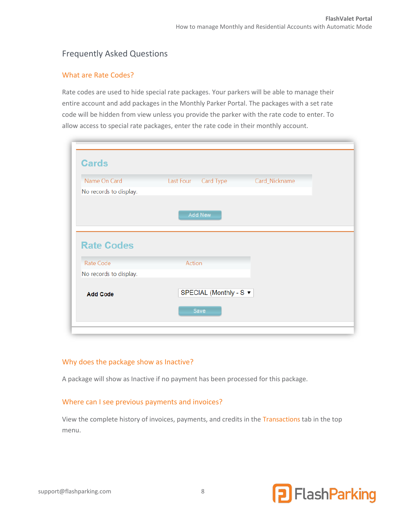# <span id="page-7-0"></span>Frequently Asked Questions

#### What are Rate Codes?

Rate codes are used to hide special rate packages. Your parkers will be able to manage their entire account and add packages in the Monthly Parker Portal. The packages with a set rate code will be hidden from view unless you provide the parker with the rate code to enter. To allow access to special rate packages, enter the rate code in their monthly account.

| Name On Card           | Card Type<br>Last Four | Card_Nickname |  |
|------------------------|------------------------|---------------|--|
| No records to display. |                        |               |  |
|                        |                        |               |  |
|                        |                        |               |  |
|                        | Add New                |               |  |
|                        |                        |               |  |
|                        |                        |               |  |
| <b>Rate Codes</b>      |                        |               |  |
| Rate Code              | Action                 |               |  |
| No records to display. |                        |               |  |
|                        | SPECIAL (Monthly - S ▼ |               |  |

#### Why does the package show as Inactive?

A package will show as Inactive if no payment has been processed for this package.

#### Where can I see previous payments and invoices?

View the complete history of invoices, payments, and credits in the Transactions tab in the top menu.